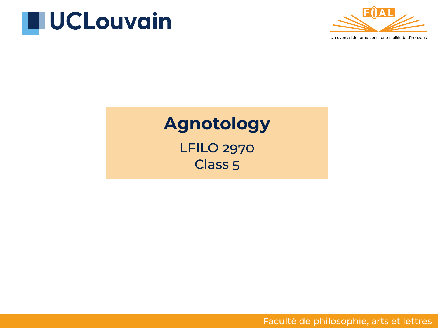



#### **Agnotology**

LFILO 2970 Class 5

Faculté de philosophie, arts et lettres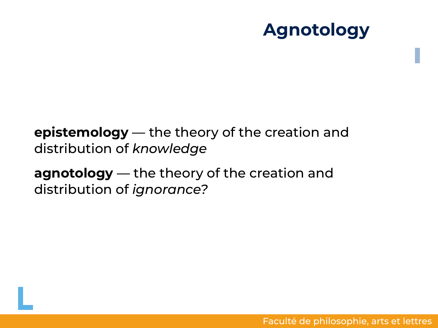## **Agnotology**

#### **epistemology** — the theory of the creation and distribution of *knowledge*

**agnotology** — the theory of the creation and distribution of *ignorance?*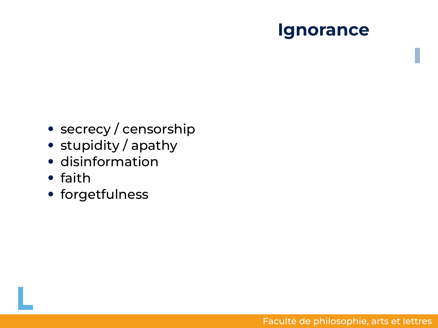#### **Ignorance**

- secrecy / censorship
- stupidity / apathy
- disinformation
- faith
- forgetfulness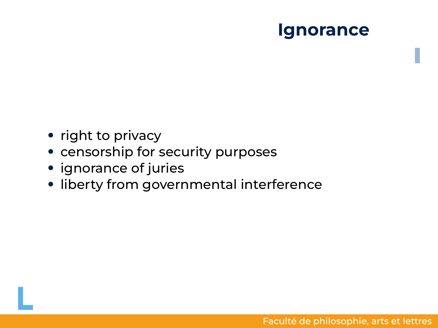#### **Ignorance**

- right to privacy
- censorship for security purposes
- ignorance of juries
- liberty from governmental interference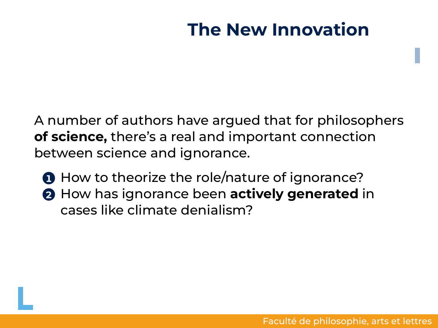# **The New Innovation**

A number of authors have argued that for philosophers **of science,** there's a real and important connection between science and ignorance.

**1** How to theorize the role/nature of ignorance? **2** How has ignorance been **actively generated** in cases like climate denialism?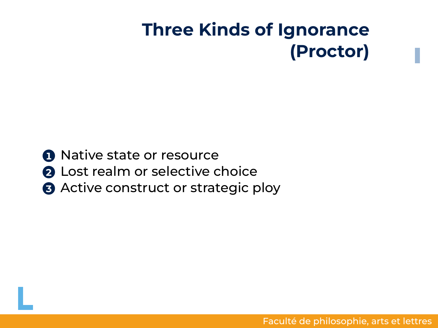# **Three Kinds of Ignorance (Proctor)**

- **1** Native state or resource
- **2** Lost realm or selective choice
- **3** Active construct or strategic ploy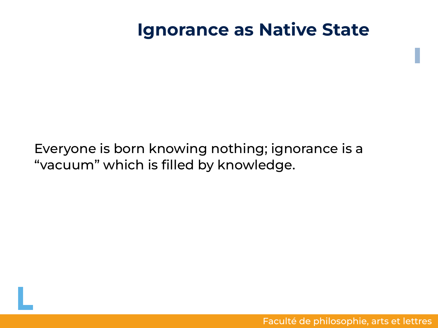#### **Ignorance as Native State**

#### Everyone is born knowing nothing; ignorance is a "vacuum" which is filled by knowledge.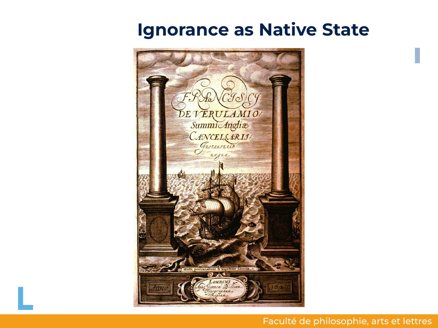#### **Ignorance as Native State**



#### Faculté de philosophie, arts et lettres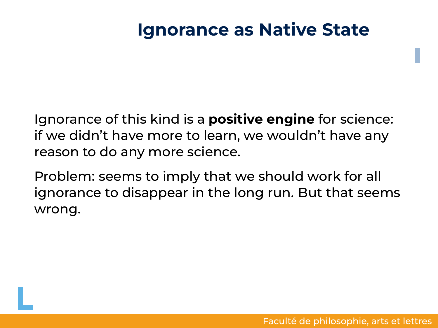#### **Ignorance as Native State**

Ignorance of this kind is a **positive engine** for science: if we didn't have more to learn, we wouldn't have any reason to do any more science.

Problem: seems to imply that we should work for all ignorance to disappear in the long run. But that seems wrong.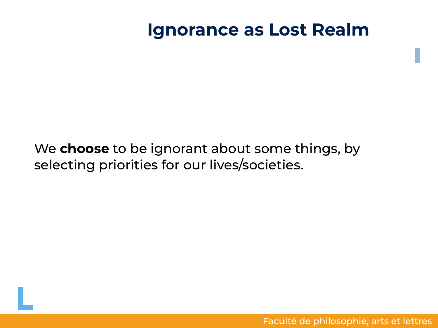#### **Ignorance as Lost Realm**

We **choose** to be ignorant about some things, by selecting priorities for our lives/societies.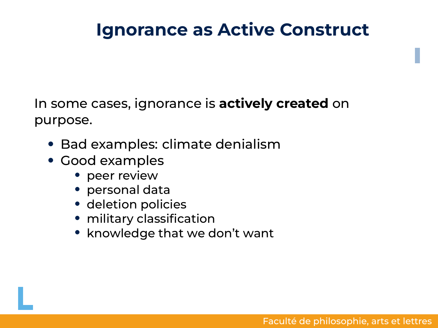# **Ignorance as Active Construct**

In some cases, ignorance is **actively created** on purpose.

- Bad examples: climate denialism
- Good examples
	- peer review
	- personal data
	- deletion policies
	- military classification
	- knowledge that we don't want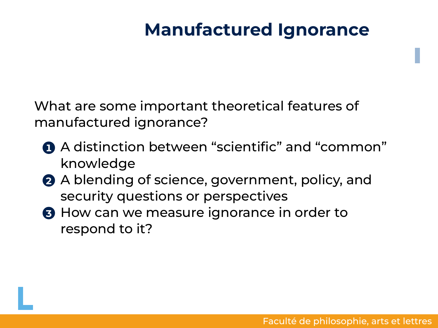## **Manufactured Ignorance**

What are some important theoretical features of manufactured ignorance?

- **1** A distinction between "scientific" and "common" knowledge
- **2** A blending of science, government, policy, and security questions or perspectives
- **3** How can we measure ignorance in order to respond to it?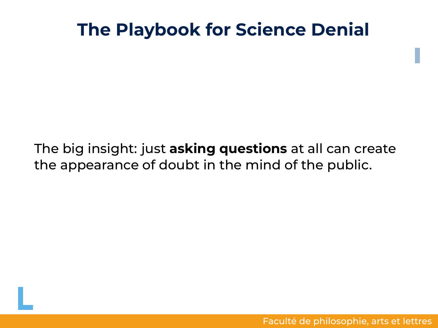## **The Playbook for Science Denial**

#### The big insight: just **asking questions** at all can create the appearance of doubt in the mind of the public.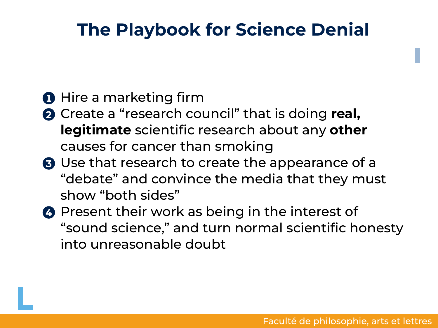## **The Playbook for Science Denial**

#### **1** Hire a marketing firm

- **2** Create a "research council" that is doing **real, legitimate** scientific research about any **other** causes for cancer than smoking
- **3** Use that research to create the appearance of a "debate" and convince the media that they must show "both sides"
- **4** Present their work as being in the interest of "sound science," and turn normal scientific honesty into unreasonable doubt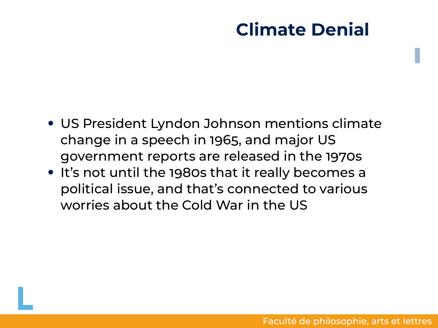## **Climate Denial**

- US President Lyndon Johnson mentions climate change in a speech in 1965, and major US government reports are released in the 1970s
- It's not until the 1980s that it really becomes a political issue, and that's connected to various worries about the Cold War in the US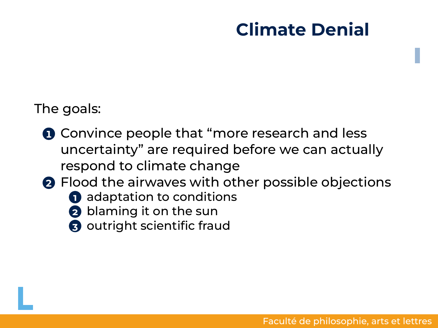# **Climate Denial**

The goals:

- **1** Convince people that "more research and less uncertainty" are required before we can actually respond to climate change
- **2** Flood the airwaves with other possible objections
	- **1** adaptation to conditions
	- **2** blaming it on the sun
	- **3** outright scientific fraud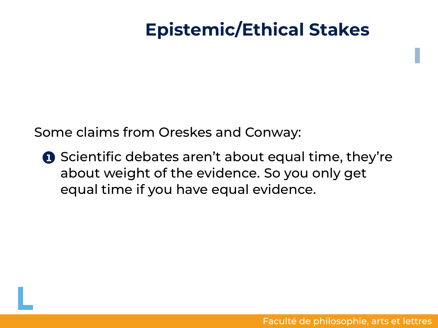Some claims from Oreskes and Conway:

**1** Scientific debates aren't about equal time, they're about weight of the evidence. So you only get equal time if you have equal evidence.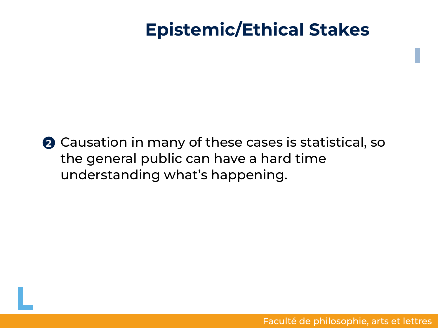**2** Causation in many of these cases is statistical, so the general public can have a hard time understanding what's happening.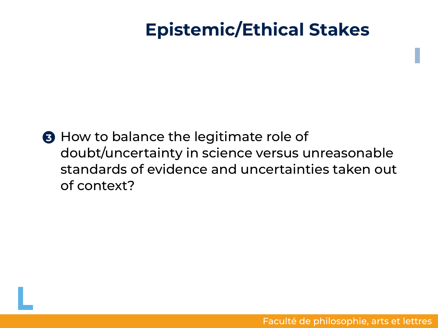**3** How to balance the legitimate role of doubt/uncertainty in science versus unreasonable standards of evidence and uncertainties taken out of context?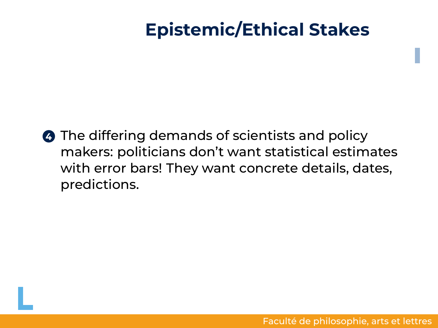**4** The differing demands of scientists and policy makers: politicians don't want statistical estimates with error bars! They want concrete details, dates, predictions.